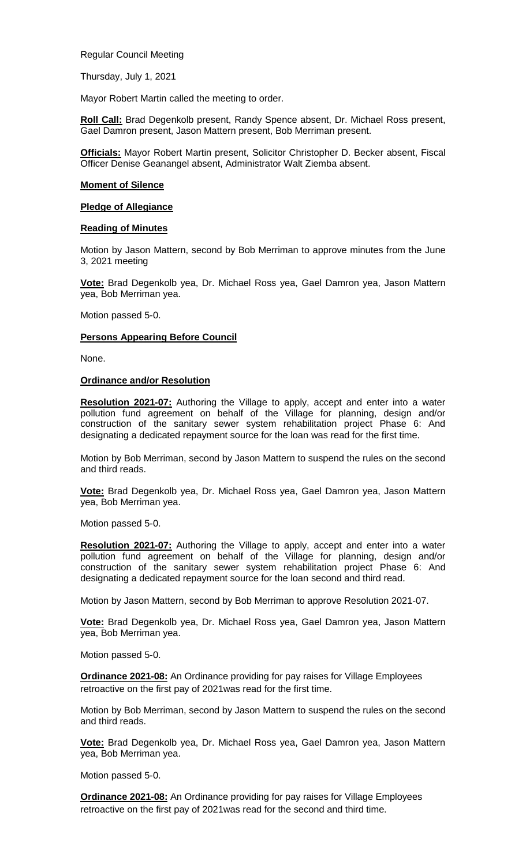Regular Council Meeting

Thursday, July 1, 2021

Mayor Robert Martin called the meeting to order.

**Roll Call:** Brad Degenkolb present, Randy Spence absent, Dr. Michael Ross present, Gael Damron present, Jason Mattern present, Bob Merriman present.

**Officials:** Mayor Robert Martin present, Solicitor Christopher D. Becker absent, Fiscal Officer Denise Geanangel absent, Administrator Walt Ziemba absent.

#### **Moment of Silence**

# **Pledge of Allegiance**

# **Reading of Minutes**

Motion by Jason Mattern, second by Bob Merriman to approve minutes from the June 3, 2021 meeting

**Vote:** Brad Degenkolb yea, Dr. Michael Ross yea, Gael Damron yea, Jason Mattern yea, Bob Merriman yea.

Motion passed 5-0.

# **Persons Appearing Before Council**

None.

# **Ordinance and/or Resolution**

**Resolution 2021-07:** Authoring the Village to apply, accept and enter into a water pollution fund agreement on behalf of the Village for planning, design and/or construction of the sanitary sewer system rehabilitation project Phase 6: And designating a dedicated repayment source for the loan was read for the first time.

Motion by Bob Merriman, second by Jason Mattern to suspend the rules on the second and third reads.

**Vote:** Brad Degenkolb yea, Dr. Michael Ross yea, Gael Damron yea, Jason Mattern yea, Bob Merriman yea.

Motion passed 5-0.

**Resolution 2021-07:** Authoring the Village to apply, accept and enter into a water pollution fund agreement on behalf of the Village for planning, design and/or construction of the sanitary sewer system rehabilitation project Phase 6: And designating a dedicated repayment source for the loan second and third read.

Motion by Jason Mattern, second by Bob Merriman to approve Resolution 2021-07.

**Vote:** Brad Degenkolb yea, Dr. Michael Ross yea, Gael Damron yea, Jason Mattern yea, Bob Merriman yea.

Motion passed 5-0.

**Ordinance 2021-08:** An Ordinance providing for pay raises for Village Employees retroactive on the first pay of 2021was read for the first time.

Motion by Bob Merriman, second by Jason Mattern to suspend the rules on the second and third reads.

**Vote:** Brad Degenkolb yea, Dr. Michael Ross yea, Gael Damron yea, Jason Mattern yea, Bob Merriman yea.

Motion passed 5-0.

**Ordinance 2021-08:** An Ordinance providing for pay raises for Village Employees retroactive on the first pay of 2021was read for the second and third time.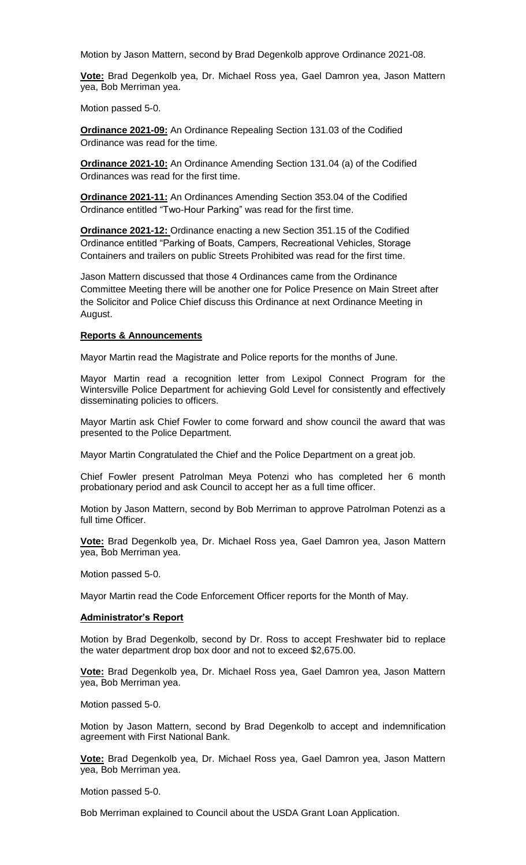Motion by Jason Mattern, second by Brad Degenkolb approve Ordinance 2021-08.

**Vote:** Brad Degenkolb yea, Dr. Michael Ross yea, Gael Damron yea, Jason Mattern yea, Bob Merriman yea.

Motion passed 5-0.

**Ordinance 2021-09:** An Ordinance Repealing Section 131.03 of the Codified Ordinance was read for the time.

**Ordinance 2021-10:** An Ordinance Amending Section 131.04 (a) of the Codified Ordinances was read for the first time.

**Ordinance 2021-11:** An Ordinances Amending Section 353.04 of the Codified Ordinance entitled "Two-Hour Parking" was read for the first time.

**Ordinance 2021-12:** Ordinance enacting a new Section 351.15 of the Codified Ordinance entitled "Parking of Boats, Campers, Recreational Vehicles, Storage Containers and trailers on public Streets Prohibited was read for the first time.

Jason Mattern discussed that those 4 Ordinances came from the Ordinance Committee Meeting there will be another one for Police Presence on Main Street after the Solicitor and Police Chief discuss this Ordinance at next Ordinance Meeting in August.

#### **Reports & Announcements**

Mayor Martin read the Magistrate and Police reports for the months of June.

Mayor Martin read a recognition letter from Lexipol Connect Program for the Wintersville Police Department for achieving Gold Level for consistently and effectively disseminating policies to officers.

Mayor Martin ask Chief Fowler to come forward and show council the award that was presented to the Police Department.

Mayor Martin Congratulated the Chief and the Police Department on a great job.

Chief Fowler present Patrolman Meya Potenzi who has completed her 6 month probationary period and ask Council to accept her as a full time officer.

Motion by Jason Mattern, second by Bob Merriman to approve Patrolman Potenzi as a full time Officer.

**Vote:** Brad Degenkolb yea, Dr. Michael Ross yea, Gael Damron yea, Jason Mattern yea, Bob Merriman yea.

Motion passed 5-0.

Mayor Martin read the Code Enforcement Officer reports for the Month of May.

#### **Administrator's Report**

Motion by Brad Degenkolb, second by Dr. Ross to accept Freshwater bid to replace the water department drop box door and not to exceed \$2,675.00.

**Vote:** Brad Degenkolb yea, Dr. Michael Ross yea, Gael Damron yea, Jason Mattern yea, Bob Merriman yea.

Motion passed 5-0.

Motion by Jason Mattern, second by Brad Degenkolb to accept and indemnification agreement with First National Bank.

**Vote:** Brad Degenkolb yea, Dr. Michael Ross yea, Gael Damron yea, Jason Mattern yea, Bob Merriman yea.

Motion passed 5-0.

Bob Merriman explained to Council about the USDA Grant Loan Application.